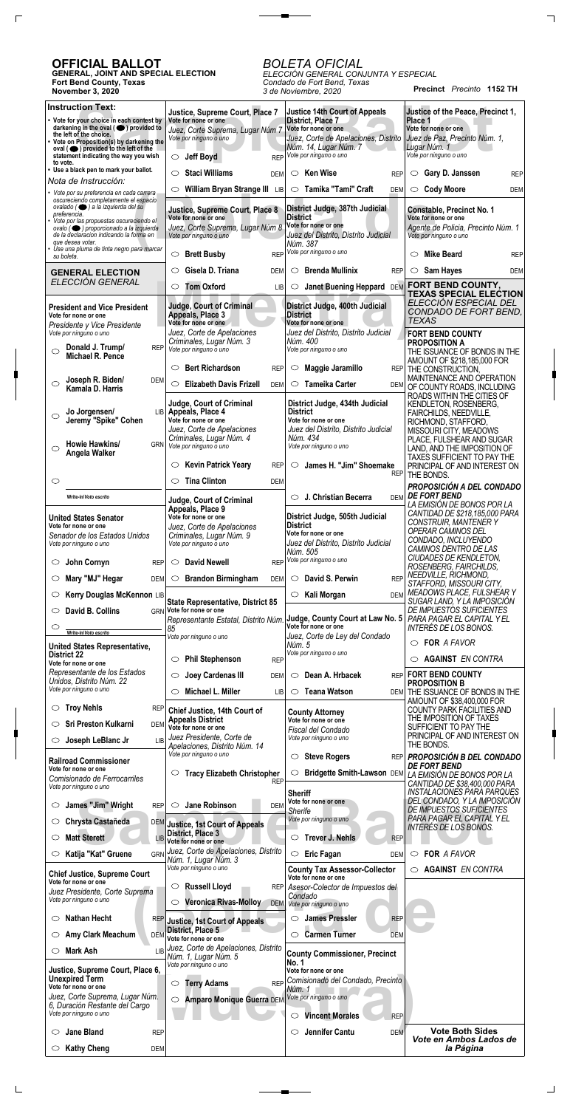**Precinct** *Precinto* **1152 TH**

## **OFFICIAL BALLOT**

 $\Gamma$ 

 $\Box$ 

**GENERAL, JOINT AND SPECIAL ELECTION Fort Bend County, Texas November 3, 2020**

## *BOLETA OFICIAL*

 $\overline{\phantom{a}}$  and  $\overline{\phantom{a}}$ 

*ELECCIÓN GENERAL CONJUNTA Y ESPECIAL Condado de Fort Bend, Texas 3 de Noviembre, 2020*

| <b>Instruction Text:</b>                                                                      | Justice, Supreme Court, Place 7                                          | <b>Justice 14th Court of Appeals</b>                         | Justice of the Peace, Precinct 1,                                  |
|-----------------------------------------------------------------------------------------------|--------------------------------------------------------------------------|--------------------------------------------------------------|--------------------------------------------------------------------|
| • Vote for your choice in each contest by<br>darkening in the oval $($ $\bullet)$ provided to | Vote for none or one                                                     | District, Place 7<br>Vote for none or one                    | Place 1<br>Vote for none or one                                    |
| the left of the choice.<br>• Vote on Proposition(s) by darkening the                          | Juez, Corte Suprema, Lugar Núm 7<br>Vote por ninguno o uno               | Juez, Corte de Apelaciones, Distrito                         | Juez de Paz, Precinto Núm. 1,                                      |
| oval $($ $\bullet)$ provided to the left of the<br>statement indicating the way you wish      | <b>Jeff Boyd</b><br><b>REP</b><br>$\circ$                                | Núm. 14, Lugar Núm. 7<br>Vote por ninguno o uno              | Lugar Núm. 1<br>Vote por ninguno o uno                             |
| to vote.<br>• Use a black pen to mark your ballot.                                            | <b>Staci Williams</b><br>◯                                               | <b>Ken Wise</b><br>$\circ$                                   |                                                                    |
| Nota de Instrucción:                                                                          | <b>DEM</b>                                                               | <b>REP</b>                                                   | Gary D. Janssen<br>$\circ$<br><b>REP</b>                           |
| • Vote por su preferencia en cada carrera<br>oscureciendo completamente el espacio            | William Bryan Strange III LIB<br>$\circlearrowright$                     | Tamika "Tami" Craft<br>$\circ$<br><b>DEM</b>                 | <b>Cody Moore</b><br>$\circ$<br>DEM                                |
| ovalado ( · ) a la izquierda del su<br>preferencia.                                           | Justice, Supreme Court, Place 8                                          | District Judge, 387th Judicial                               | <b>Constable, Precinct No. 1</b>                                   |
| Vote por las propuestas oscureciendo el<br>ovalo (O) proporcionado a la izquierda             | Vote for none or one<br>Juez, Corte Suprema, Lugar Núm 8                 | <b>District</b><br>Vote for none or one                      | Vote for none or one<br>Agente de Policia, Precinto Núm. 1         |
| de la declaración indicando la forma en<br>que desea votar.                                   | Vote por ninguno o uno                                                   | Juez del Distrito, Distrito Judicial<br>Núm. 387             | Vote por ninguno o uno                                             |
| Use una pluma de tinta negro para marcar<br>su boleta.                                        | <b>Brett Busby</b><br>$\circ$<br><b>REP</b>                              | Vote por ninguno o uno                                       | <b>Mike Beard</b><br>◯<br><b>REP</b>                               |
| <b>GENERAL ELECTION</b>                                                                       | Gisela D. Triana<br>O<br><b>DEM</b>                                      | <b>Brenda Mullinix</b><br>$\circ$<br><b>REP</b>              | Sam Hayes<br>$\circ$<br><b>DEM</b>                                 |
| ELECCIÓN GENERAL                                                                              | <b>Tom Oxford</b><br>$\circ$                                             | $\circ$                                                      | FORT BEND COUNTY,                                                  |
|                                                                                               | <b>LIB</b>                                                               | Janet Buening Heppard DEM                                    | <b>TEXAS SPECIAL ELECTION</b>                                      |
| <b>President and Vice President</b><br>Vote for none or one                                   | <b>Judge, Court of Criminal</b><br>Appeals, Place 3                      | District Judge, 400th Judicial<br><b>District</b>            | ELECCIÓN ESPECIAL DEL<br>CONDADO DE FORT BEND,                     |
| Presidente y Vice Presidente                                                                  | Vote for none or one                                                     | Vote for none or one                                         | <b>TEXAS</b>                                                       |
| Vote por ninguno o uno                                                                        | Juez, Corte de Apelaciones<br>Criminales, Lugar Núm. 3                   | Juez del Distrito, Distrito Judicial<br>Núm. 400             | <b>FORT BEND COUNTY</b><br><b>PROPOSITION A</b>                    |
| Donald J. Trump/<br><b>REP</b><br>$\circlearrowright$<br>Michael R. Pence                     | Vote por ninguno o uno                                                   | Vote por ninguno o uno                                       | THE ISSUANCE OF BONDS IN THE                                       |
|                                                                                               | <b>Bert Richardson</b><br>$\circlearrowright$<br><b>REP</b>              | Maggie Jaramillo<br>O                                        | AMOUNT OF \$218,185,000 FOR<br>REP THE CONSTRUCTION,               |
| Joseph R. Biden/<br>DEM<br>O                                                                  | <b>Elizabeth Davis Frizell</b><br>$\circ$<br><b>DEM</b>                  | <b>Tameika Carter</b><br>$\circ$<br>DEM                      | MAINTENANCE AND OPERATION                                          |
| Kamala D. Harris                                                                              |                                                                          |                                                              | OF COUNTY ROADS, INCLUDING<br>ROADS WITHIN THE CITIES OF           |
| Jo Jorgensen/<br>◯                                                                            | Judge, Court of Criminal<br>LIB Appeals, Place 4                         | District Judge, 434th Judicial<br><b>District</b>            | KENDLETON, ROSENBERG,<br>FAIRCHILDS, NEEDVILLE,                    |
| Jeremy "Spike" Cohen                                                                          | Vote for none or one                                                     | Vote for none or one                                         | RICHMOND, STAFFORD,                                                |
|                                                                                               | Juez, Corte de Apelaciones<br>Criminales, Lugar Núm. 4                   | Juez del Distrito, Distrito Judicial<br>Núm. 434             | MISSOURI CITY, MEADOWS<br>PLACE, FULSHEAR AND SUGAR                |
| Howie Hawkins/<br><b>GRN</b><br>$\circlearrowright$<br>Angela Walker                          | Vote por ninguno o uno                                                   | Vote por ninguno o uno                                       | LAND, AND THE IMPOSITION OF<br><b>TAXES SUFFICIENT TO PAY THE</b>  |
|                                                                                               | <b>Kevin Patrick Yeary</b><br>$\circlearrowright$<br><b>REP</b>          | James H. "Jim" Shoemake<br>$\circ$                           | PRINCIPAL OF AND INTEREST ON                                       |
| $\circlearrowright$                                                                           | <b>Tina Clinton</b><br>$\circlearrowright$<br><b>DEM</b>                 | <b>REP</b>                                                   | THE BONDS.                                                         |
| Write-in/Voto escrito                                                                         |                                                                          | J. Christian Becerra<br>DEM                                  | PROPOSICIÓN A DEL CONDADO<br><b>DE FORT BEND</b>                   |
|                                                                                               | <b>Judge, Court of Criminal</b><br>Appeals, Place 9                      |                                                              | LA EMISIÓN DE BONOS POR LA<br>CANTIDAD DE \$218,185,000 PARA       |
| <b>United States Senator</b><br>Vote for none or one                                          | Vote for none or one<br>Juez, Corte de Apelaciones                       | District Judge, 505th Judicial<br><b>District</b>            | CONSTRUIR, MANTENER Y                                              |
| Senador de los Estados Unidos                                                                 | Criminales, Lugar Núm. 9                                                 | Vote for none or one                                         | OPERAR CAMINOS DEL<br>CONDADO, INCLUYENDO                          |
| Vote por ninguno o uno                                                                        | Vote por ninguno o uno                                                   | Juez del Distrito, Distrito Judicial<br>Núm. 505             | CAMINOS DENTRO DE LAS                                              |
| John Cornyn<br><b>REP</b><br>O                                                                | <b>David Newell</b><br>$\circ$<br><b>REP</b>                             | Vote por ninguno o uno                                       | CIUDADES DE KENDLETON,<br>ROSENBERG, FAIRCHILDS,                   |
| Mary "MJ" Hegar<br><b>DEM</b><br>O                                                            | <b>Brandon Birmingham</b><br>$\circ$<br><b>DEM</b>                       | David S. Perwin<br>$\circ$<br><b>REP</b>                     | NEEDVILLE, RICHMOND,                                               |
| Kerry Douglas McKennon LIB<br>O                                                               |                                                                          | Kali Morgan<br>$\circ$<br><b>DEM</b>                         | STAFFORD, MISSOURI CITY,<br>MEADOWS PLACE, FULSHEAR Y              |
| David B. Collins<br>O                                                                         | <b>State Representative, District 85</b><br>GRN Vote for none or one     |                                                              | SUGAR LAND, Y LA IMPOSICIÓN<br>DE IMPUESTOS SUFICIENTES            |
|                                                                                               | Representante Estatal, Distrito Núm.                                     | Judge, County Court at Law No. 5                             | PARA PAGAR EL CAPITAL Y EL                                         |
| $\circlearrowright$<br>Write-in/Voto escrito                                                  | 85<br>Vote por ninguno o uno                                             | Vote for none or one<br>Juez, Corte de Ley del Condado       | INTERÉS DE LOS BONOS.                                              |
| <b>United States Representative,</b>                                                          |                                                                          | Núm. 5<br>Vote por ninguno o uno                             | FOR A FAVOR<br>$\circ$                                             |
| <b>District 22</b><br>Vote for none or one                                                    | <b>Phil Stephenson</b><br>$\circlearrowright$<br><b>REP</b>              |                                                              | <b>AGAINST EN CONTRA</b><br>$\circ$                                |
| Representante de los Estados<br>Unidos, Distrito Núm. 22                                      | Joey Cardenas III<br>$\circlearrowright$<br><b>DEM</b>                   | Dean A. Hrbacek<br>$\circ$                                   | REP FORT BEND COUNTY                                               |
| Vote por ninguno o uno                                                                        | Michael L. Miller<br>$\circlearrowright$<br><b>LIB</b>                   | <b>Teana Watson</b><br>$\circ$                               | <b>PROPOSITION B</b><br>DEM THE ISSUANCE OF BONDS IN THE           |
| <b>Troy Nehls</b><br>O<br><b>REP</b>                                                          |                                                                          |                                                              | AMOUNT OF \$38,400,000 FOR<br><b>COUNTY PARK FACILITIES AND</b>    |
| <b>Sri Preston Kulkarni</b><br>◯                                                              | Chief Justice, 14th Court of<br><b>Appeals District</b>                  | <b>County Attorney</b><br>Vote for none or one               | THE IMPOSITION OF TAXES                                            |
| <b>DEM</b>                                                                                    | Vote for none or one<br>Juez Presidente, Corte de                        | Fiscal del Condado<br>Vote por ninguno o uno                 | SUFFICIENT TO PAY THE<br>PRINCIPAL OF AND INTEREST ON              |
| Joseph LeBlanc Jr<br>$\circ$<br>$\overline{\phantom{a}}$ IB                                   | Apelaciones, Distrito Núm. 14                                            |                                                              | THE BONDS.                                                         |
| <b>Railroad Commissioner</b>                                                                  | Vote por ninguno o uno                                                   | <b>Steve Rogers</b><br>$\circ$                               | REP <b>PROPOSICIÓN B DEL CONDADO</b><br><b>DE FORT BEND</b>        |
| Vote for none or one<br>Comisionado de Ferrocarriles                                          | <b>Tracy Elizabeth Christopher</b>                                       | $\circlearrowright$                                          | Bridgette Smith-Lawson DEM LA EMISIÓN DE BONOS POR LA              |
| Vote por ninguno o uno                                                                        | <b>REP</b>                                                               | <b>Sheriff</b>                                               | CANTIDAD DE \$38,400,000 PARA<br><b>INSTALACIONES PARA PARQUES</b> |
| James "Jim" Wright<br><b>REP</b><br>$\circlearrowright$                                       | <b>Jane Robinson</b><br>$\circ$<br><b>DEM</b>                            | Vote for none or one                                         | DEL CONDADO, Y LA IMPOSICIÓN                                       |
| Chrysta Castañeda<br>O<br><b>DEM</b>                                                          |                                                                          | <b>Sherife</b><br>Vote por ninguno o uno                     | <b>DE IMPUESTOS SUFICIENTES</b><br>PARA PAGAR EL CAPITAL Y EL      |
|                                                                                               | <b>Justice, 1st Court of Appeals</b><br><b>District, Place 3</b>         |                                                              | INTERÉS DE LOS BONOS.                                              |
| <b>Matt Sterett</b><br>O                                                                      | Vote for none or one                                                     | Trever J. Nehls<br>$\circ$<br><b>REP</b>                     |                                                                    |
| Katija "Kat" Gruene<br><b>GRN</b><br>$\circ$                                                  | Juez, Corte de Apelaciones, Distrito<br>Núm. 1, Lugar <del>N</del> úm. 3 | <b>Eric Fagan</b><br>$\bigcirc$<br><b>DEM</b>                | FOR A FAVOR<br>$\circ$                                             |
| <b>Chief Justice, Supreme Court</b>                                                           | Vote por ninguno o uno                                                   | <b>County Tax Assessor-Collector</b><br>Vote for none or one | <b>AGAINST EN CONTRA</b><br>$\circ$                                |
| Vote for none or one<br>Juez Presidente, Corte Suprema                                        | <b>Russell Lloyd</b><br>$\circ$<br><b>REP</b>                            | Asesor-Colector de Impuestos del                             |                                                                    |
| Vote por ninguno o uno                                                                        | <b>Veronica Rivas-Molloy</b><br>$\circ$<br><b>DEM</b>                    | Condado<br>Vote por ninguno o uno                            |                                                                    |
| <b>Nathan Hecht</b><br>O                                                                      |                                                                          | <b>James Pressler</b><br><b>REP</b><br>O                     |                                                                    |
| Amy Clark Meachum                                                                             | REP Justice, 1st Court of Appeals<br>District, Place 5                   | <b>Carmen Turner</b><br>$\circ$<br>DEM                       |                                                                    |
| DEM                                                                                           | Vote for none or one<br>Juez, Corte de Apelaciones, Distrito             |                                                              |                                                                    |
| <b>Mark Ash</b><br>$\overline{\phantom{a}}$ IB<br>O                                           | Núm. 1, Lugar Núm. 5                                                     | <b>County Commissioner, Precinct</b><br>No. 1                |                                                                    |
| Justice, Supreme Court, Place 6,                                                              | Vote por ninguno o uno                                                   | Vote for none or one                                         |                                                                    |
| <b>Unexpired Term</b><br>Vote for none or one                                                 | <b>Terry Adams</b><br>$\circ$<br><b>REP</b>                              | Comisionado del Condado, Precinto<br>Núm. 1                  |                                                                    |
| Juez, Corte Suprema, Lugar Núm.                                                               | <b>Amparo Monique Guerra DEM</b><br>$\circ$                              | Vote por ninguno o uno                                       |                                                                    |
| 6, Duración Restante del Cargo<br>Vote por ninguno o uno                                      |                                                                          | <b>Vincent Morales</b><br><b>REP</b><br>O                    |                                                                    |
| <b>Jane Bland</b><br><b>REP</b><br>O                                                          |                                                                          | <b>Jennifer Cantu</b><br>O<br><b>DEM</b>                     | <b>Vote Both Sides</b>                                             |
| <b>Kathy Cheng</b><br>DEM<br>O                                                                |                                                                          |                                                              | Vote en Ambos Lados de<br>la Página                                |
|                                                                                               |                                                                          |                                                              |                                                                    |

 $\Box$